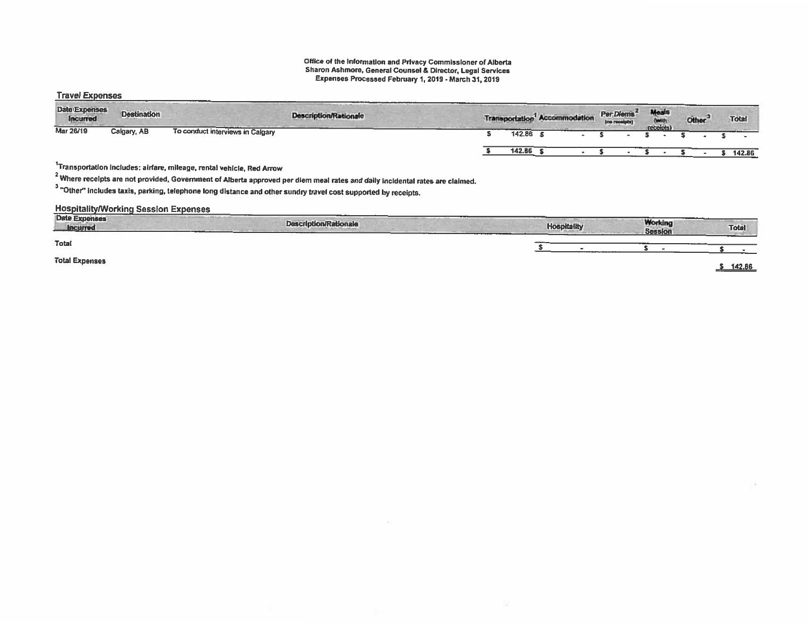#### Office of the Information and Privacy Commissioner of Alberta Sharon Ashmore, General Counsel & Director, Legal Services Expenses Processed February 1,2019 - March 31, 2019

#### Travel Expenses

| Date Expenses<br><b>Incurred</b> | <b>Destination</b> |                                  | <b>Description/Rationale</b> |        | Transportation <sup>1</sup> Accommodation | Per Diems<br>(no receipts) | Meals<br>(with | <b>Other</b> |  | <b>Total</b> |
|----------------------------------|--------------------|----------------------------------|------------------------------|--------|-------------------------------------------|----------------------------|----------------|--------------|--|--------------|
| Mar 26/19                        | Calgary, AB        | To conduct interviews in Calgary |                              | 142.86 |                                           |                            | receipts)      |              |  |              |
|                                  |                    |                                  |                              | 142.86 |                                           |                            |                |              |  | 142.86       |

### 1Transportation includes: airfare, mileage, rental vehicle. Red Arrow

 $^2$  Where receipts are not provided, Government of Alberta approved per diem meal rates and daily incidental rates are claimed.

 $3$  "Other" includes taxis, parking, telephone long distance and other sundry travel cost supported by receipts.

### **Hospitality/Working Session Expenses**

| Date Expenses<br><b>Incurred</b> | <b>Description/Rationale</b> | and a little is a process of an | <b>Hospitality</b>                                                                                                          | <b>Working</b><br><b>Session</b> | Total  |
|----------------------------------|------------------------------|---------------------------------|-----------------------------------------------------------------------------------------------------------------------------|----------------------------------|--------|
| Total                            |                              |                                 | <b>The company of the company of the company of the company of the company of the company of the company of the company</b> |                                  |        |
| <b>Total Expenses</b>            |                              |                                 |                                                                                                                             |                                  | 142.66 |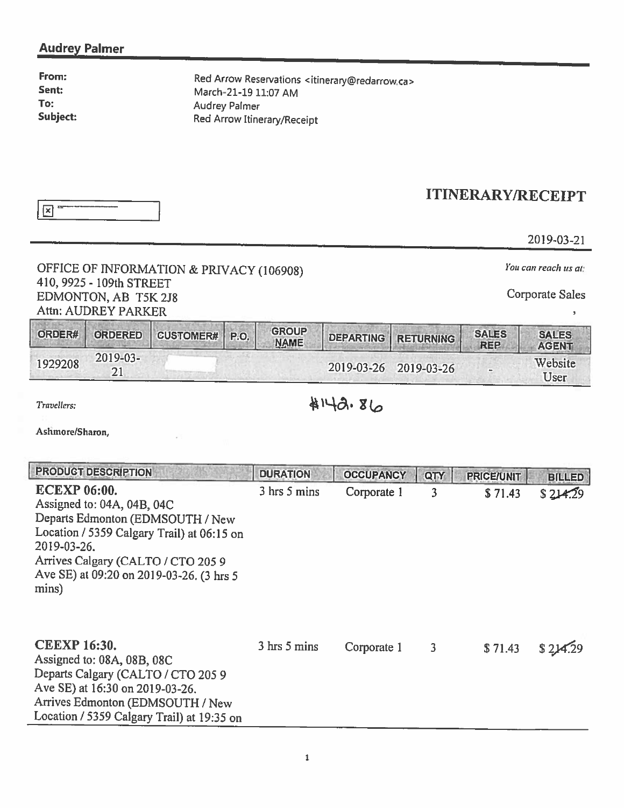### Audrey Palmer

From: Sent: To: Subject: Red Arrow Reservations <itinerary@redarrow.ca> March-21-19 11:07 AM Audrey Palmer Red Arrow Itinerary/Receipt

|--|

## ITINERARY/RECEIPT

2019-03-21

### OFFICE OF INFORMATION & PRIVACY (106908) You can reach us at: 410, 9925 - 109th STREET EDMONTON, AB T5K 2J8 Corporate Sales Attn: AUDREY PARKER

| ORDER#  | ORDERED             | CUSTOMER# P.O. | <b>GROUP</b><br><b>NAME</b> | <b>I DEPARTING RETURNING</b> | <b>SALES</b><br><b>REP</b> | <b>SALES</b><br><b>AGENT</b> |
|---------|---------------------|----------------|-----------------------------|------------------------------|----------------------------|------------------------------|
| 1929208 | $2019 - 03 -$<br>21 |                |                             | 2019-03-26 2019-03-26        |                            | Website<br>User              |

# Travellers: \$142.86

Ashmore/Sharon,

| <b>PRODUCT DESCRIPTION</b>                                                                                                                                                                                                                    | <b>DURATION</b> | <b>OCCUPANCY</b> | QTY | <b>PRICE/UNIT</b> | <b>BILLED</b> |
|-----------------------------------------------------------------------------------------------------------------------------------------------------------------------------------------------------------------------------------------------|-----------------|------------------|-----|-------------------|---------------|
| <b>ECEXP 06:00.</b><br>Assigned to: 04A, 04B, 04C<br>Departs Edmonton (EDMSOUTH / New<br>Location / 5359 Calgary Trail) at 06:15 on<br>2019-03-26.<br>Arrives Calgary (CALTO / CTO 205 9<br>Ave SE) at 09:20 on 2019-03-26. (3 hrs 5<br>mins) | 3 hrs 5 mins    | Corporate 1      | 3   | \$71.43           | \$214.29      |
| <b>CEEXP 16:30.</b><br>Assigned to: 08A, 08B, 08C<br>Departs Calgary (CALTO / CTO 205 9<br>Ave SE) at 16:30 on 2019-03-26.<br>Arrives Edmonton (EDMSOUTH / New<br>Location / 5359 Calgary Trail) at 19:35 on                                  | 3 hrs 5 mins    | Corporate 1      | 3   | \$71.43           |               |